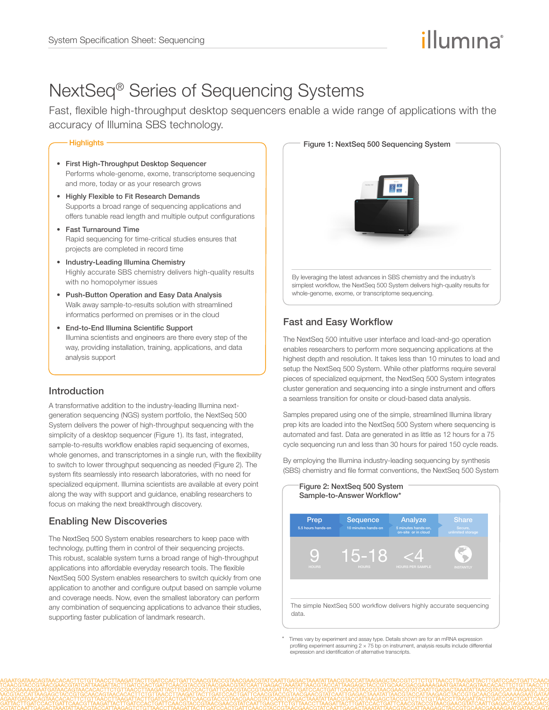# illumına

# NextSeq® Series of Sequencing Systems

Fast, flexible high-throughput desktop sequencers enable a wide range of applications with the accuracy of Illumina SBS technology.

#### - Highlights

- First High-Throughput Desktop Sequencer Performs whole-genome, exome, transcriptome sequencing and more, today or as your research grows
- Highly Flexible to Fit Research Demands Supports a broad range of sequencing applications and offers tunable read length and multiple output configurations
- Fast Turnaround Time Rapid sequencing for time-critical studies ensures that projects are completed in record time
- Industry-Leading Illumina Chemistry Highly accurate SBS chemistry delivers high-quality results with no homopolymer issues
- Push-Button Operation and Easy Data Analysis Walk away sample-to-results solution with streamlined informatics performed on premises or in the cloud
- End-to-End Illumina Scientific Support Illumina scientists and engineers are there every step of the way, providing installation, training, applications, and data analysis support

### Introduction

A transformative addition to the industry-leading Illumina nextgeneration sequencing (NGS) system portfolio, the NextSeq 500 System delivers the power of high-throughput sequencing with the simplicity of a desktop sequencer (Figure 1). Its fast, integrated, sample-to-results workflow enables rapid sequencing of exomes, whole genomes, and transcriptomes in a single run, with the flexibility to switch to lower throughput sequencing as needed (Figure 2). The system fits seamlessly into research laboratories, with no need for specialized equipment. Illumina scientists are available at every point along the way with support and guidance, enabling researchers to focus on making the next breakthrough discovery.

## Enabling New Discoveries

The NextSeq 500 System enables researchers to keep pace with technology, putting them in control of their sequencing projects. This robust, scalable system turns a broad range of high-throughput applications into affordable everyday research tools. The flexible NextSeq 500 System enables researchers to switch quickly from one application to another and configure output based on sample volume and coverage needs. Now, even the smallest laboratory can perform any combination of sequencing applications to advance their studies, supporting faster publication of landmark research.



# Fast and Easy Workflow

The NextSeq 500 intuitive user interface and load-and-go operation enables researchers to perform more sequencing applications at the highest depth and resolution. It takes less than 10 minutes to load and setup the NextSeq 500 System. While other platforms require several pieces of specialized equipment, the NextSeq 500 System integrates cluster generation and sequencing into a single instrument and offers a seamless transition for onsite or cloud-based data analysis.

Samples prepared using one of the simple, streamlined Illumina library prep kits are loaded into the NextSeq 500 System where sequencing is automated and fast. Data are generated in as little as 12 hours for a 75 cycle sequencing run and less than 30 hours for paired 150 cycle reads.

By employing the Illumina industry-leading sequencing by synthesis (SBS) chemistry and file format conventions, the NextSeq 500 System



Times vary by experiment and assay type. Details shown are for an mRNA expression profiling experiment assuming  $2 \times 75$  bp on instrument, analysis results include differential expression and identification of alternative transcripts.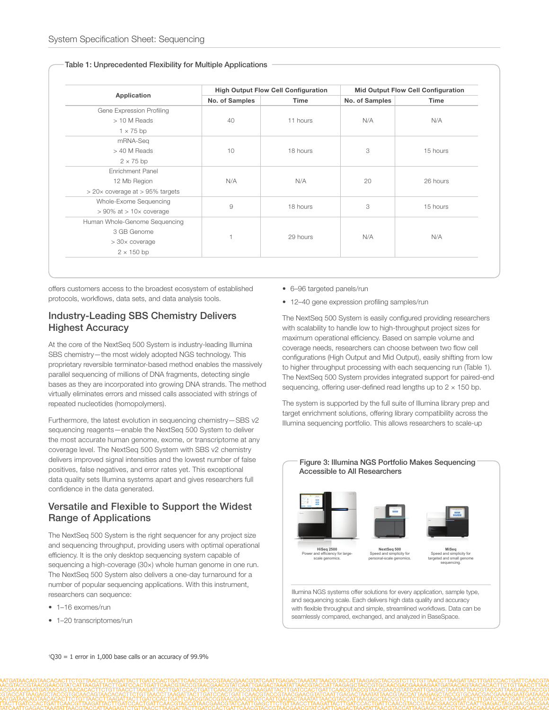|                                             |                | <b>High Output Flow Cell Configuration</b> |                | <b>Mid Output Flow Cell Configuration</b> |
|---------------------------------------------|----------------|--------------------------------------------|----------------|-------------------------------------------|
| Application                                 | No. of Samples | <b>Time</b>                                | No. of Samples | Time                                      |
| Gene Expression Profiling                   |                |                                            |                |                                           |
| > 10 M Reads                                | 40             | 11 hours                                   | N/A            | N/A                                       |
| $1 \times 75$ bp                            |                |                                            |                |                                           |
| mRNA-Seq                                    |                |                                            |                |                                           |
| > 40 M Reads                                | 10             | 18 hours                                   | 3              | 15 hours                                  |
| $2 \times 75$ bp                            |                |                                            |                |                                           |
| <b>Enrichment Panel</b>                     |                |                                            |                |                                           |
| 12 Mb Region                                | N/A            | N/A                                        | 20             | 26 hours                                  |
| $>$ 20 $\times$ coverage at $>$ 95% targets |                |                                            |                |                                           |
| Whole-Exome Sequencing                      | $\overline{9}$ | 18 hours                                   | 3              | 15 hours                                  |
| $> 90\%$ at $> 10 \times$ coverage          |                |                                            |                |                                           |
| Human Whole-Genome Sequencing               |                |                                            |                |                                           |
| 3 GB Genome                                 |                |                                            |                |                                           |
| $> 30 \times$ coverage                      |                | 29 hours                                   | N/A            | N/A                                       |
| $2 \times 150$ bp                           |                |                                            |                |                                           |

#### Table 1: Unprecedented Flexibility for Multiple Applications

offers customers access to the broadest ecosystem of established protocols, workflows, data sets, and data analysis tools.

#### Industry-Leading SBS Chemistry Delivers Highest Accuracy

At the core of the NextSeq 500 System is industry-leading Illumina SBS chemistry—the most widely adopted NGS technology. This proprietary reversible terminator-based method enables the massively parallel sequencing of millions of DNA fragments, detecting single bases as they are incorporated into growing DNA strands. The method virtually eliminates errors and missed calls associated with strings of repeated nucleotides (homopolymers).

Furthermore, the latest evolution in sequencing chemistry—SBS v2 sequencing reagents—enable the NextSeq 500 System to deliver the most accurate human genome, exome, or transcriptome at any coverage level. The NextSeq 500 System with SBS v2 chemistry delivers improved signal intensities and the lowest number of false positives, false negatives, and error rates yet. This exceptional data quality sets Illumina systems apart and gives researchers full confidence in the data generated.

### Versatile and Flexible to Support the Widest Range of Applications

The NextSeq 500 System is the right sequencer for any project size and sequencing throughput, providing users with optimal operational efficiency. It is the only desktop sequencing system capable of sequencing a high-coverage (30×) whole human genome in one run. The NextSeq 500 System also delivers a one-day turnaround for a number of popular sequencing applications. With this instrument, researchers can sequence:

- 1-16 exomes/run
- 1–20 transcriptomes/run
- 6–96 targeted panels/run
- 12–40 gene expression profiling samples/run

The NextSeq 500 System is easily configured providing researchers with scalability to handle low to high-throughput project sizes for maximum operational efficiency. Based on sample volume and coverage needs, researchers can choose between two flow cell configurations (High Output and Mid Output), easily shifting from low to higher throughput processing with each sequencing run (Table 1). The NextSeq 500 System provides integrated support for paired-end sequencing, offering user-defined read lengths up to  $2 \times 150$  bp.

The system is supported by the full suite of Illumina library prep and target enrichment solutions, offering library compatibility across the Illumina sequencing portfolio. This allows researchers to scale-up

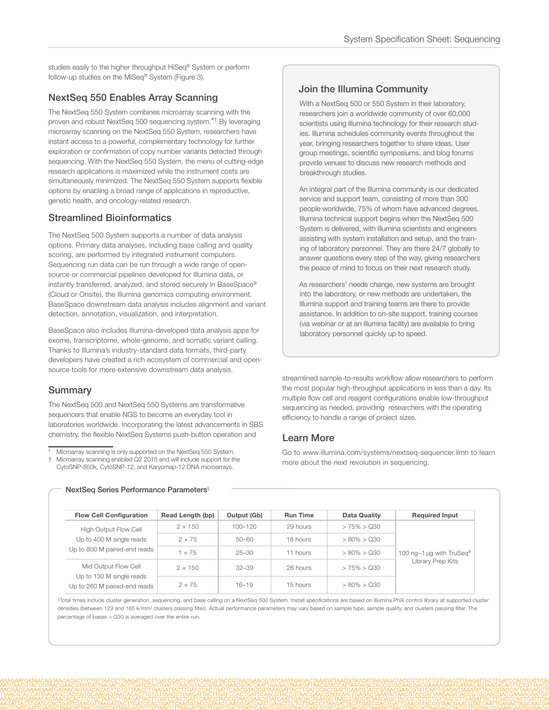studies easily to the higher throughput HiSeq® System or perform follow-up studies on the MiSeq® System (Figure 3).

#### NextSeq 550 Enables Array Scanning

The NextSeq 550 System combines microarray scanning with the proven and robust NextSeq 500 sequencing system.\*† By leveraging microarray scanning on the NextSeq 550 System, researchers have instant access to a powerful, complementary technology for further exploration or confirmation of copy number variants detected through sequencing. With the NextSeq 550 System, the menu of cutting-edge research applications is maximized while the instrument costs are simultaneously minimized. The NextSeq 550 System supports flexible options by enabling a broad range of applications in reproductive, genetic health, and oncology-related research.

#### Streamlined Bioinformatics

The NextSeq 500 System supports a number of data analysis options. Primary data analyses, including base calling and quality scoring, are performed by integrated instrument computers. Sequencing run data can be run through a wide range of opensource or commercial pipelines developed for Illumina data, or instantly transferred, analyzed, and stored securely in BaseSpace® (Cloud or Onsite), the Illumina genomics computing environment. BaseSpace downstream data analysis includes alignment and variant detection, annotation, visualization, and interpretation.

BaseSpace also includes Illumina-developed data analysis apps for exome, transcriptome, whole-genome, and somatic variant calling. Thanks to Illumina's industry-standard data formats, third-party developers have created a rich ecosystem of commercial and opensource tools for more extensive downstream data analysis.

#### Summary

The NextSeq 500 and NextSeq 550 Systems are transformative sequencers that enable NGS to become an everyday tool in laboratories worldwide. Incorporating the latest advancements in SBS chemistry, the flexible NextSeq Systems push-button operation and

Microarray scanning is only supported on the NextSeq 550 System. † Microarray scanning enabled Q2 2015 and will include support for the CytoSNP-850k, CytoSNP-12, and Karyomap-12 DNA microarrays.

### Join the Illumina Community

With a NextSeq 500 or 550 System in their laboratory, researchers join a worldwide community of over 60,000 scientists using Illumina technology for their research studies. Illumina schedules community events throughout the year, bringing researchers together to share ideas. User group meetings, scientific symposiums, and blog forums provide venues to discuss new research methods and breakthrough studies.

An integral part of the Illumina community is our dedicated service and support team, consisting of more than 300 people worldwide, 75% of whom have advanced degrees. Illumina technical support begins when the NextSeq 500 System is delivered, with Illumina scientists and engineers assisting with system installation and setup, and the training of laboratory personnel. They are there 24/7 globally to answer questions every step of the way, giving researchers the peace of mind to focus on their next research study.

As researchers' needs change, new systems are brought into the laboratory, or new methods are undertaken, the Illumina support and training teams are there to provide assistance. In addition to on-site support, training courses (via webinar or at an Illumina facility) are available to bring laboratory personnel quickly up to speed.

streamlined sample-to-results workflow allow researchers to perform the most popular high-throughput applications in less than a day. Its multiple flow cell and reagent configurations enable low-throughput sequencing as needed, providing researchers with the operating efficiency to handle a range of project sizes.

#### Learn More

Go to [www.illumina.com/systems/nextseq-sequencer.ilmn](http://www.illumina.com/systems/nextseq-sequencer.ilmn) to learn more about the next revolution in sequencing.

| <b>Flow Cell Configuration</b>                                                                                                                                               | Read Length (bp) | Output (Gb) | <b>Run Time</b> | Data Quality         | <b>Required Input</b>                                     |
|------------------------------------------------------------------------------------------------------------------------------------------------------------------------------|------------------|-------------|-----------------|----------------------|-----------------------------------------------------------|
| <b>High Output Flow Cell</b><br>Up to 400 M single reads<br>Up to 800 M paired-end reads<br>Mid Output Flow Cell<br>Up to 130 M single reads<br>Up to 260 M paired-end reads | $2 \times 150$   | $100 - 120$ | 29 hours        | $> 75\% > Q30$       | 100 ng-1 µg with TruSeq <sup>®</sup><br>Library Prep Kits |
|                                                                                                                                                                              | $2 \times 75$    | $50 - 60$   | 18 hours        | $> 80\% > Q30$       |                                                           |
|                                                                                                                                                                              | $1 \times 75$    | $25 - 30$   | 11 hours        | $> 80\% > \Omega$ 30 |                                                           |
|                                                                                                                                                                              | $2 \times 150$   | $32 - 39$   | 26 hours        | $> 75\% > Q30$       |                                                           |
|                                                                                                                                                                              | $2 \times 75$    | $16 - 19$   | 15 hours        | $>80\% > Q30$        |                                                           |

NextSeq Series Performance Parameters§

§Total times include cluster generation, sequencing, and base calling on a NextSeq 500 System. Install specifications are based on Illumina PhiX control library at supported cluster densities (between 129 and 165 k/mm<sup>2</sup> clusters passing filter). Actual performance parameters may vary based on sample type, sample quality, and clusters passing filter. The percentage of bases > Q30 is averaged over the entire run.